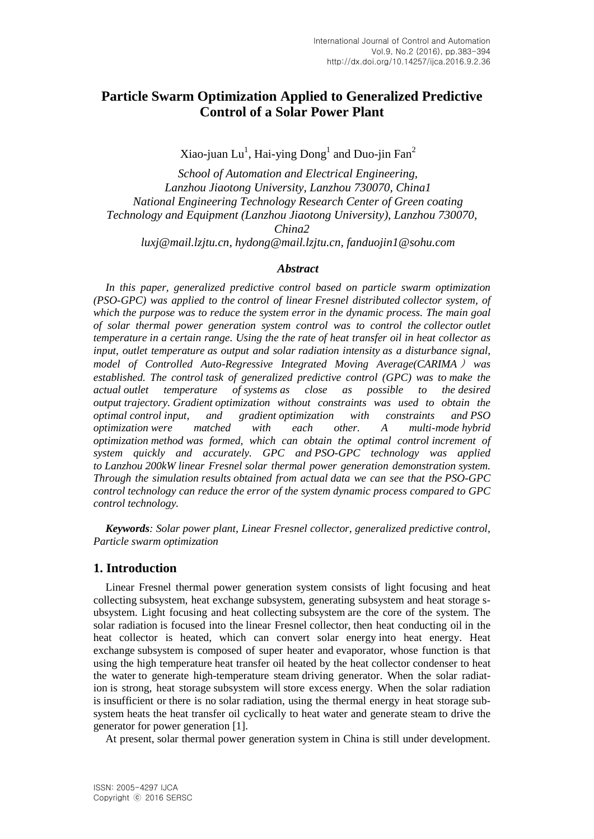# **Particle Swarm Optimization Applied to Generalized Predictive Control of a Solar Power Plant**

Xiao-juan Lu<sup>1</sup>, Hai-ying  $\operatorname{Dong}^1$  and  $\operatorname{Duo}\nolimits$ -jin  $\operatorname{Fan}^2$ 

*School of Automation and Electrical Engineering, Lanzhou Jiaotong University, Lanzhou 730070, China1 National Engineering Technology Research Center of Green coating Technology and Equipment (Lanzhou Jiaotong University), Lanzhou 730070, China2 luxj@mail.lzjtu.cn, [hydong@mail.lzjtu.cn,](mailto:hydong@mail.lzjtu.cn) fanduojin1@sohu.com*

## *Abstract*

*In this paper, generalized predictive control based on particle swarm optimization (PSO-GPC) was applied to the control of linear Fresnel distributed collector system, of which the purpose was to reduce the system error in the dynamic process. The main goal of solar thermal power generation system control was to control the collector outlet temperature in a certain range. Using the the rate of heat transfer oil in heat collector as input, outlet temperature as output and solar radiation intensity as a disturbance signal, model of Controlled Auto-Regressive Integrated Moving Average(CARIMA* ) *was established. The control task of generalized predictive control (GPC) was to make the actual outlet temperature of systems as close as possible to the desired output trajectory. Gradient optimization without constraints was used to obtain the optimal control input, and gradient optimization with constraints and PSO optimization were matched with each other. A multi-mode hybrid optimization method was formed, which can obtain the optimal control increment of system quickly and accurately. GPC and PSO-GPC technology was applied to Lanzhou 200kW linear Fresnel solar thermal power generation demonstration system. Through the simulation results obtained from actual data we can see that the PSO-GPC control technology can reduce the error of the system dynamic process compared to GPC control technology.*

*Keywords: Solar power plant, Linear Fresnel collector, generalized predictive control, Particle swarm optimization*

## **1. Introduction**

Linear Fresnel thermal power generation system consists of light focusing and heat collecting subsystem, heat exchange subsystem, generating subsystem and heat storage subsystem. Light focusing and heat collecting subsystem are the core of the system. The solar radiation is focused into the linear Fresnel collector, then heat conducting oil in the heat collector is heated, which can convert solar energy into heat energy. Heat exchange subsystem is composed of super heater and evaporator, whose function is that using the high temperature heat transfer oil heated by the heat collector condenser to heat the water to generate high-temperature steam driving generator. When the solar radiation is strong, heat storage subsystem will store excess energy. When the solar radiation is insufficient or there is no solar radiation, using the thermal energy in heat storage subsystem heats the heat transfer oil cyclically to heat water and generate steam to drive the generator for power generation [1].

At present, solar thermal power generation system in China is still under development.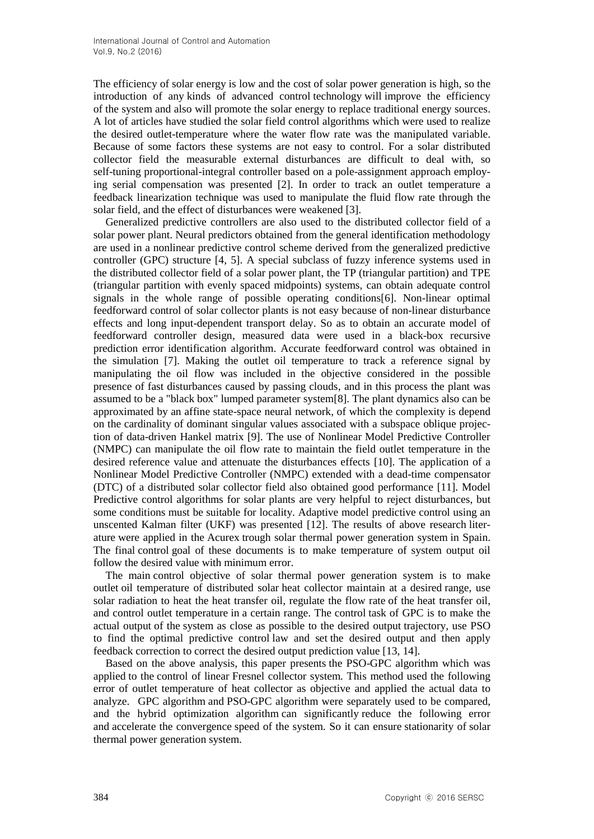The efficiency of solar energy is low and the cost of solar power generation is high, so the introduction of any kinds of advanced control technology will improve the efficiency of the system and also will promote the solar energy to replace traditional energy sources. A lot of articles have studied the solar field control algorithms which were used to realize the desired outlet-temperature where the water flow rate was the manipulated variable. Because of some factors these systems are not easy to control. For a solar distributed collector field the measurable external disturbances are difficult to deal with, so self-tuning proportional-integral controller based on a pole-assignment approach employing serial compensation was presented [2]. In order to track an outlet temperature a feedback linearization technique was used to manipulate the fluid flow rate through the solar field, and the effect of disturbances were weakened [3].

Generalized predictive controllers are also used to the distributed collector field of a solar power plant. Neural predictors obtained from the general identification methodology are used in a nonlinear predictive control scheme derived from the generalized predictive controller (GPC) structure [4, 5]. A special subclass of fuzzy inference systems used in the distributed collector field of a solar power plant, the TP (triangular partition) and TPE (triangular partition with evenly spaced midpoints) systems, can obtain adequate control signals in the whole range of possible operating conditions[6]. Non-linear optimal feedforward control of solar collector plants is not easy because of non-linear disturbance effects and long input-dependent transport delay. So as to obtain an accurate model of feedforward controller design, measured data were used in a black-box recursive prediction error identification algorithm. Accurate feedforward control was obtained in the simulation [7]. Making the outlet oil temperature to track a reference signal by manipulating the oil flow was included in the objective considered in the possible presence of fast disturbances caused by passing clouds, and in this process the plant was assumed to be a "black box" lumped parameter system[8]. The plant dynamics also can be approximated by an affine state-space neural network, of which the complexity is depend on the cardinality of dominant singular values associated with a subspace oblique projection of data-driven Hankel matrix [9]. The use of Nonlinear Model Predictive Controller (NMPC) can manipulate the oil flow rate to maintain the field outlet temperature in the desired reference value and attenuate the disturbances effects [10]. The application of a Nonlinear Model Predictive Controller (NMPC) extended with a dead-time compensator (DTC) of a distributed solar collector field also obtained good performance [11]. Model Predictive control algorithms for solar plants are very helpful to reject disturbances, but some conditions must be suitable for locality. Adaptive model predictive control using an unscented Kalman filter (UKF) was presented [12]. The results of above research literature were applied in the Acurex trough solar thermal power generation system in Spain. The final control goal of these documents is to make temperature of system output oil follow the desired value with minimum error.

The main control objective of solar thermal power generation system is to make outlet oil temperature of distributed solar heat collector maintain at a desired range, use solar radiation to heat the heat transfer oil, regulate the flow rate of the heat transfer oil, and control outlet temperature in a certain range. The control task of GPC is to make the actual output of the system as close as possible to the desired output trajectory, use PSO to find the optimal predictive control law and set the desired output and then apply feedback correction to correct the desired output prediction value [13, 14].

Based on the above analysis, this paper presents the PSO-GPC algorithm which was applied to the control of linear Fresnel collector system. This method used the following error of outlet temperature of heat collector as objective and applied the actual data to analyze. GPC algorithm and PSO-GPC algorithm were separately used to be compared, and the hybrid optimization algorithm can significantly reduce the following error and accelerate the convergence speed of the system. So it can ensure [stationarity](http://dict.cnki.net/dict_result.aspx?searchword=%e5%b9%b3%e7%a8%b3%e6%80%a7&tjType=sentence&style=&t=stationarity) of solar thermal power generation system.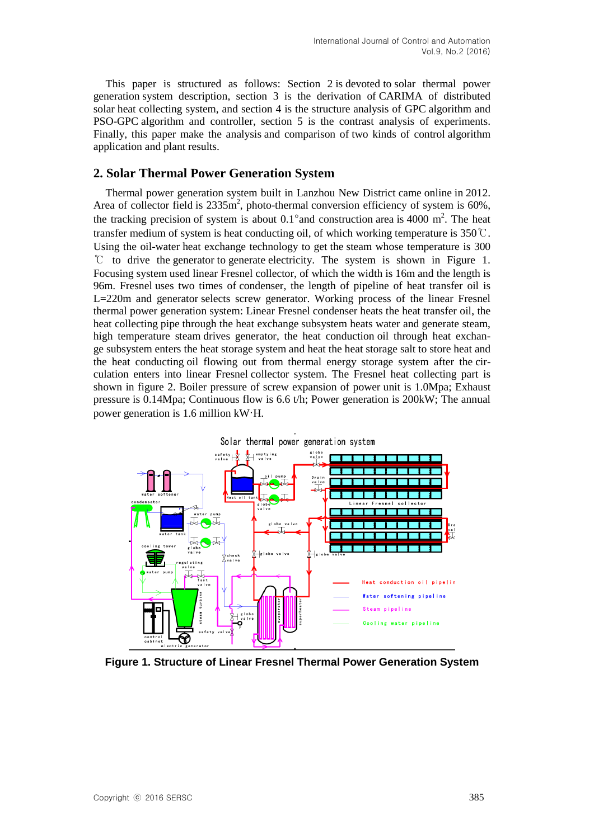This paper is structured as follows: Section 2 is devoted to solar thermal power generation system description, section 3 is the derivation of CARIMA of distributed solar heat collecting system, and section 4 is the structure analysis of GPC algorithm and PSO-GPC algorithm and controller, section 5 is the contrast analysis of experiments. Finally, this paper make the analysis and comparison of two kinds of control algorithm application and plant results.

## **2. Solar Thermal Power Generation System**

Thermal power generation system built in Lanzhou New District came online in 2012. Area of collector field is  $2335m^2$ , photo-thermal conversion efficiency of system is 60%, the tracking precision of system is about  $0.1^{\circ}$  and construction area is 4000 m<sup>2</sup>. The heat transfer medium of system is heat conducting oil, of which working temperature is  $350^{\circ}\text{C}$ . Using the oil-water heat exchange technology to get the steam whose temperature is 300 ℃ to drive the generator to generate electricity. The system is shown in Figure 1. Focusing system used linear Fresnel collector, of which the width is 16m and the length is 96m. Fresnel uses two times of condenser, the length of pipeline of heat transfer oil is L=220m and generator selects screw generator. Working process of the linear Fresnel thermal power generation system: Linear Fresnel condenser heats the heat transfer oil, the heat collecting pipe through the heat exchange subsystem heats water and generate steam, high temperature steam drives generator, the heat conduction oil through heat exchange subsystem enters the heat storage system and heat the heat storage salt to store heat and the heat conducting oil flowing out from thermal energy storage system after the circulation enters into linear Fresnel collector system. The Fresnel heat collecting part is shown in figure 2. Boiler pressure of screw expansion of power unit is 1.0Mpa; Exhaust pressure is 0.14Mpa; Continuous flow is 6.6 t/h; Power generation is 200kW; The annual power generation is 1.6 million kW·H.



**Figure 1. Structure of Linear Fresnel Thermal Power Generation System**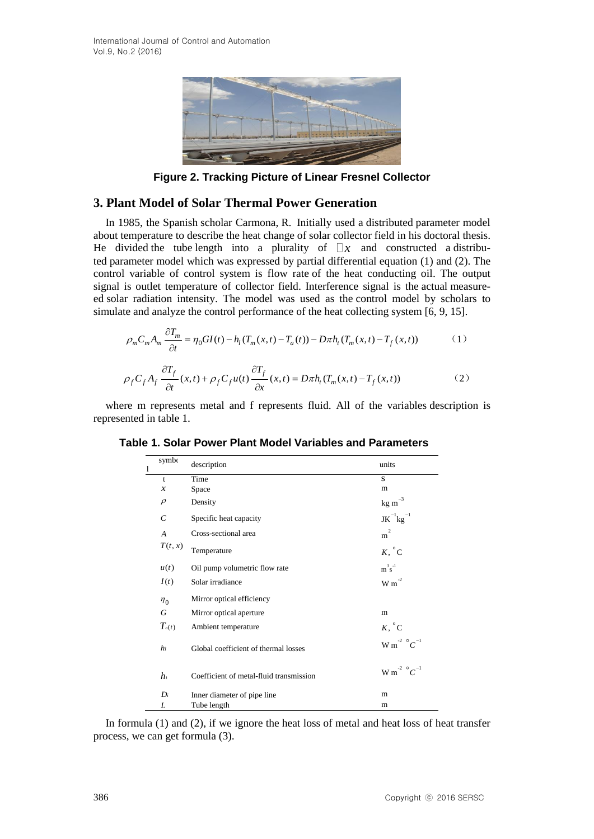

**Figure 2. Tracking Picture of Linear Fresnel Collector**

## **3. Plant Model of Solar Thermal Power Generation**

In 1985, the Spanish scholar Carmona, R. Initially used a distributed parameter model about temperature to describe the heat change of solar collector field in his doctoral thesis. He divided the tube length into a plurality of  $\Box x$  and constructed a distributed parameter model which was expressed by partial differential equation (1) and (2). The control variable of control system is flow rate of the heat conducting oil. The output signal is outlet temperature of collector field. Interference signal is the actual measureed solar radiation intensity. The model was used as the control model by scholars to

simulate and analyze the control performance of the heat collecting system [6, 9, 15].  
\n
$$
\rho_m C_m A_m \frac{\partial T_m}{\partial t} = \eta_0 G I(t) - h_l (T_m(x, t) - T_a(t)) - D \pi h_l (T_m(x, t) - T_f(x, t)) \tag{1}
$$

$$
\rho_m c_m A_m \frac{\partial T_f}{\partial t} = \eta_0 \omega_1(t) - n_l (I_m(x,t) - I_a(t)) - D \pi n_l (I_m(x,t) - I_f(x,t))
$$
\n
$$
\rho_f C_f A_f \frac{\partial T_f}{\partial t}(x,t) + \rho_f C_f u(t) \frac{\partial T_f}{\partial x}(x,t) = D \pi h_l (T_m(x,t) - T_f(x,t))
$$
\n(2)

where m represents metal and f represents fluid. All of the variables description is represented in table 1.

| 1 | symbo                   | description                             | units                                        |
|---|-------------------------|-----------------------------------------|----------------------------------------------|
|   | $\mathbf{t}$            | Time                                    | S                                            |
|   | $\boldsymbol{x}$        | Space                                   | m                                            |
|   | $\rho$                  | Density                                 | $\mbox{kg m}^{-3}$                           |
|   | $\mathcal{C}_{0}^{(n)}$ | Specific heat capacity                  | $JK^{-1}kg^{-1}$                             |
|   | $\overline{A}$          | Cross-sectional area                    | 2<br>m                                       |
|   | $T(t,\boldsymbol{x})$   | Temperature                             | $K, \degree C$                               |
|   | u(t)                    | Oil pump volumetric flow rate           | $m^3s^{-1}$                                  |
|   | I(t)                    | Solar irradiance                        | $W m^{-2}$                                   |
|   | $\eta_0$                | Mirror optical efficiency               |                                              |
|   | G                       | Mirror optical aperture                 | m                                            |
|   | $T_a(t)$                | Ambient temperature                     | $K, \degree C$                               |
|   | h <sub>l</sub>          | Global coefficient of thermal losses    | W m <sup>-2</sup> $^{\circ}$ C <sup>-1</sup> |
|   | $h_{i}$                 | Coefficient of metal-fluid transmission | W m <sup>-2</sup> $^{\circ}$ C <sup>-1</sup> |
|   | $D_i$                   | Inner diameter of pipe line             | m                                            |
|   | L                       | Tube length                             | m                                            |

**Table 1. Solar Power Plant Model Variables and Parameters**

In formula (1) and (2), if we ignore the heat loss of metal and heat loss of heat transfer process, we can get formula (3).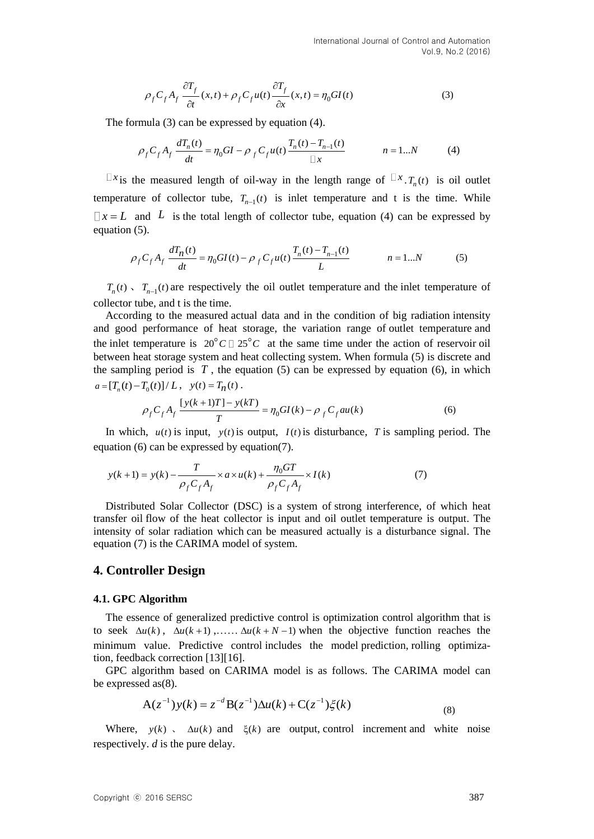$$
\rho_f C_f A_f \frac{\partial T_f}{\partial t}(x, t) + \rho_f C_f u(t) \frac{\partial T_f}{\partial x}(x, t) = \eta_0 G I(t)
$$
\n(3)

The formula (3) can be expressed by equation (4).  
\n
$$
\rho_f C_f A_f \frac{dT_n(t)}{dt} = \eta_0 G I - \rho_f C_f u(t) \frac{T_n(t) - T_{n-1}(t)}{\Box x} \qquad n = 1...N
$$
\n(4)

*x* is the measured length of oil-way in the length range of  $\Box x$ .  $T_n(t)$  is oil outlet temperature of collector tube,  $T_{n-1}(t)$  is inlet temperature and t is the time. While  $x = L$  and L is the total length of collector tube, equation (4) can be expressed by equation (5).  $\frac{d(t)}{dt} = \eta_0 G I(t) - \rho_0 C_c u(t) \frac{T_n(t) - T_{n-1}(t)}{2\pi}$ 

(5).  
\n
$$
\rho_f C_f A_f \frac{dT_n(t)}{dt} = \eta_0 G I(t) - \rho_f C_f u(t) \frac{T_n(t) - T_{n-1}(t)}{L} \qquad n = 1...N
$$
\n(5)

 $T_n(t)$ ,  $T_{n-1}(t)$  are respectively the oil outlet temperature and the inlet temperature of collector tube, and t is the time.

According to the measured actual data and in the condition of big radiation intensity and good performance of heat storage, the variation range of outlet temperature and the inlet temperature is  $20^{\circ}C \square 25^{\circ}C$  at the same time under the action of reservoir oil between heat storage system and heat collecting system. When formula (5) is discrete and the sampling period is  $T$ , the equation  $(5)$  can be expressed by equation  $(6)$ , in which  $a = [T_n(t) - T_0(t)] / L$ ,  $y(t) = T_n(t)$ .<br> $Q \cdot C \cdot A \cdot \frac{[y(k+1)T] - y(kT)}{[y(k+1)T] - y(kT)}$ 

$$
\rho_f C_f A_f \frac{[y(k+1)T] - y(kT)}{T} = \eta_0 G I(k) - \rho_f C_f a u(k)
$$
\n(6)

In which,  $u(t)$  is input,  $y(t)$  is output,  $I(t)$  is disturbance, T is sampling period. The equation (6) can be expressed by equation(7).

$$
y(k+1) = y(k) - \frac{T}{\rho_f C_f A_f} \times a \times u(k) + \frac{\eta_0 GT}{\rho_f C_f A_f} \times I(k)
$$
 (7)

Distributed Solar Collector (DSC) is a system of strong interference, of which heat transfer oil flow of the heat collector is input and oil outlet temperature is output. The intensity of solar radiation which can be measured actually is a disturbance signal. The equation (7) is the CARIMA model of system.

## **4. Controller Design**

#### **4.1. GPC Algorithm**

The essence of generalized predictive control is optimization control algorithm that is to seek  $\Delta u(k)$ ,  $\Delta u(k+1)$ ,.....  $\Delta u(k+N-1)$  when the objective function reaches the minimum value. Predictive control includes the model prediction, rolling optimization, feedback correction [13][16].

GPC algorithm based on CARIMA model is as follows. The CARIMA model can be expressed as(8).

$$
A(z^{-1})y(k) = z^{-d}B(z^{-1})\Delta u(k) + C(z^{-1})\xi(k)
$$
\n(8)

Where,  $y(k)$ ,  $\Delta u(k)$  and  $\xi(k)$  are output, control increment and white noise respectively. *d* is the pure delay.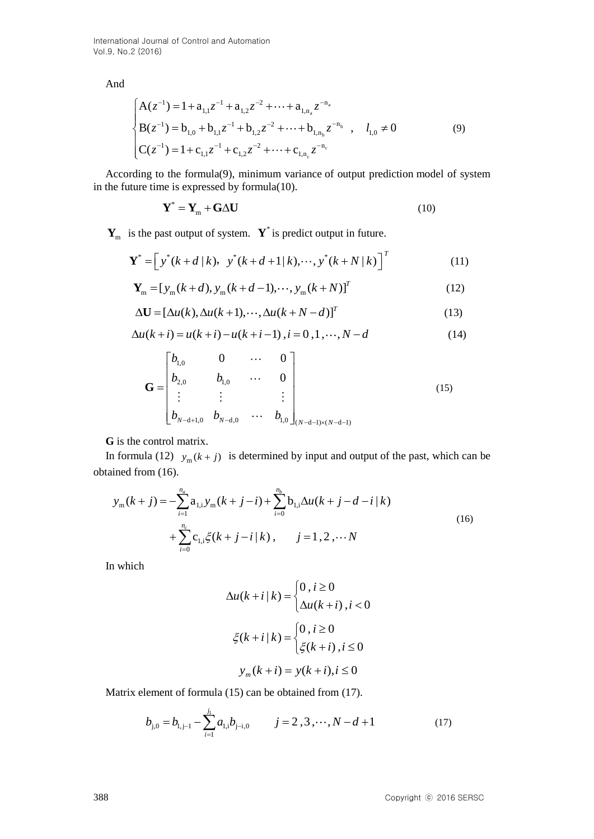International Journal of Control and Automation Vol.9, No.2 (2016)

And

$$
\begin{cases}\nA(z^{-1}) = 1 + a_{1,1}z^{-1} + a_{1,2}z^{-2} + \dots + a_{1,n_a}z^{-n_a} \\
B(z^{-1}) = b_{1,0} + b_{1,1}z^{-1} + b_{1,2}z^{-2} + \dots + b_{1,n_b}z^{-n_b} , \quad l_{1,0} \neq 0 \\
C(z^{-1}) = 1 + c_{1,1}z^{-1} + c_{1,2}z^{-2} + \dots + c_{1,n_c}z^{-n_c}\n\end{cases}
$$
\n(9)

According to the formula(9), minimum variance of output prediction model of system in the future time is expressed by formula(10).

$$
\mathbf{Y}^* = \mathbf{Y}_m + \mathbf{G} \Delta \mathbf{U} \tag{10}
$$

$$
\mathbf{Y}_{m} \text{ is the past output of system.} \quad \mathbf{Y}^{*} \text{ is predict output in future.}
$$
\n
$$
\mathbf{Y}^{*} = \left[ y^{*}(k+d|k), \quad y^{*}(k+d+1|k), \cdots, y^{*}(k+N|k) \right]^{T} \tag{11}
$$

$$
\mathbf{Y}_{m} = [y_{m}(k+d), y_{m}(k+d-1), \cdots, y_{m}(k+N)]
$$
\n
$$
\mathbf{Y}_{m} = [y_{m}(k+d), y_{m}(k+d-1), \cdots, y_{m}(k+N)]^{T}
$$
\n(12)

$$
\mathbf{Y}_{m} = [y_{m}(k+a), y_{m}(k+a-1), \cdots, y_{m}(k+N)]
$$
\n
$$
\Delta \mathbf{U} = [\Delta u(k), \Delta u(k+1), \cdots, \Delta u(k+N-d)]^{T}
$$
\n(13)

$$
\Delta \mathbf{U} = [\Delta u(k), \Delta u(k+1), \cdots, \Delta u(k+N-d)]^{T}
$$
\n(13)  
\n
$$
\Delta u(k+i) = u(k+i) - u(k+i-1), i = 0, 1, \cdots, N-d
$$
\n(14)

$$
\mathbf{G} = \begin{bmatrix} b_{1,0} & 0 & \cdots & 0 \\ b_{2,0} & b_{1,0} & \cdots & 0 \\ \vdots & \vdots & & \vdots \\ b_{N-d+1,0} & b_{N-d,0} & \cdots & b_{1,0} \end{bmatrix}
$$
(15)

**G** is the control matrix.

obtained from (16).

In formula (12) 
$$
y_m(k+j)
$$
 is determined by input and output of the past, which can be  
tained from (16).  

$$
y_m(k+j) = -\sum_{i=1}^{n_a} a_{1,i} y_m(k+j-i) + \sum_{i=0}^{n_b} b_{1,i} \Delta u(k+j-d-i|k)
$$

$$
+ \sum_{i=0}^{n_c} c_{1,i} \xi(k+j-i|k), \qquad j=1,2,\cdots N
$$
(16)

In which

$$
\Delta u(k+i|k) = \begin{cases} 0, i \ge 0 \\ \Delta u(k+i), i < 0 \end{cases}
$$

$$
\xi(k+i|k) = \begin{cases} 0, i \ge 0 \\ \xi(k+i), i \le 0 \end{cases}
$$

$$
y_m(k+i) = y(k+i), i \le 0
$$

Matrix element of formula (15) can be obtained from (17).

$$
b_{j,0} = b_{l,j-1} - \sum_{i=1}^{j_1} a_{l,i} b_{j-i,0} \qquad j = 2,3,\dots,N-d+1 \tag{17}
$$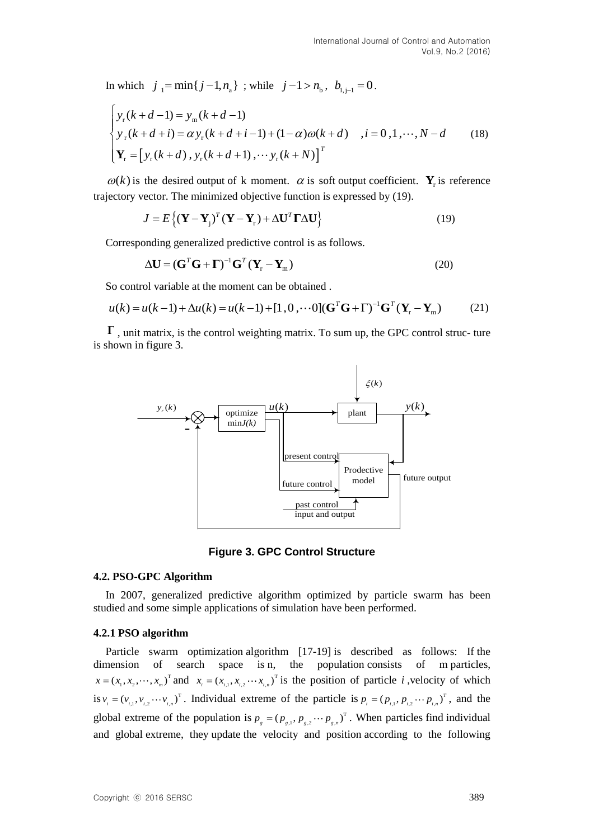In which 
$$
j_1 = \min\{j-1, n_a\}
$$
; while  $j-1 > n_b$ ,  $b_{1,j-1} = 0$ .  
\n
$$
\begin{cases}\ny_r(k+d-1) = y_m(k+d-1) \\
y_r(k+d+i) = \alpha y_r(k+d+i-1) + (1-\alpha)\omega(k+d) \\
\mathbf{Y}_r = \begin{bmatrix}y_r(k+d), y_r(k+d+1), \cdots y_r(k+N)\end{bmatrix}^T\n\end{cases}
$$
\n(18)

 $\omega(k)$  is the desired output of k moment.  $\alpha$  is soft output coefficient.  $\mathbf{Y}_r$  is reference

trajectory vector. The minimized objective function is expressed by (19).  
\n
$$
J = E\{ (\mathbf{Y} - \mathbf{Y}_j)^T (\mathbf{Y} - \mathbf{Y}_r) + \Delta \mathbf{U}^T \mathbf{\Gamma} \Delta \mathbf{U} \}
$$
\n(19)

Corresponding generalized predictive control is as follows.

$$
\Delta \mathbf{U} = (\mathbf{G}^T \mathbf{G} + \mathbf{\Gamma})^{-1} \mathbf{G}^T (\mathbf{Y}_r - \mathbf{Y}_m)
$$
(20)

So control variable at the moment can be obtained .

$$
\Delta \mathbf{U} = (\mathbf{G} \ \mathbf{G} + \mathbf{I}) \ \mathbf{G} \ (\mathbf{Y}_r - \mathbf{Y}_m)
$$
\n
$$
\text{So control variable at the moment can be obtained.}
$$
\n
$$
u(k) = u(k-1) + \Delta u(k) = u(k-1) + [1, 0, \cdots 0] (\mathbf{G}^T \mathbf{G} + \Gamma)^{-1} \mathbf{G}^T (\mathbf{Y}_r - \mathbf{Y}_m)
$$
\n
$$
(21)
$$

**Γ** , unit matrix, is the control weighting matrix. To sum up, the GPC control struc- ture is shown in figure 3.



**Figure 3. GPC Control Structure**

#### **4.2. PSO-GPC Algorithm**

In 2007, generalized predictive algorithm optimized by particle swarm has been studied and some simple applications of simulation have been performed.

## **4.2.1 PSO algorithm**

Particle swarm optimization algorithm [17-19] is described as follows: If the dimension of search space is n, the population consists of m particles,  $x = (x_1, x_2, \dots, x_m)^T$  and  $x_i = (x_{i,1}, x_{i,2}, \dots, x_{i,n})^T$  is the position of particle *i*, velocity of which is  $v_i = (v_{i,1}, v_{i,2} \cdots v_{i,n})^\text{T}$ . Individual extreme of the particle is  $p_i = (p_{i,1}, p_{i,2} \cdots p_{i,n})^\text{T}$ , and the global extreme of the population is  $p_{g} = (p_{g,1}, p_{g,2} \cdots p_{g,n})^{\text{T}}$ . When particles find individual and global extreme, they update the velocity and position according to the following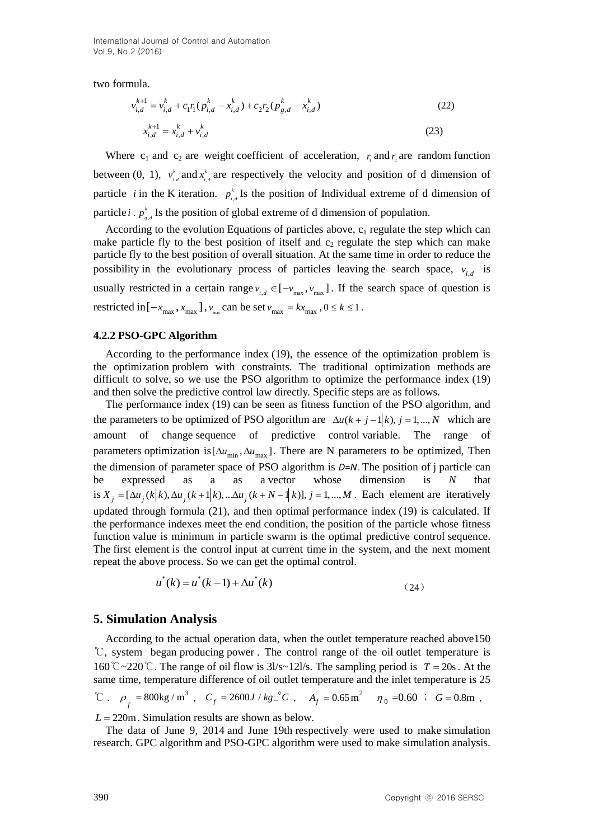International Journal of Control and Automation Vol.9, No.2 (2016)

two formula.

$$
v_{i,d}^{k+1} = v_{i,d}^k + c_1 r_1 (p_{i,d}^k - x_{i,d}^k) + c_2 r_2 (p_{g,d}^k - x_{i,d}^k)
$$
\n
$$
x_{i,d}^{k+1} = x_{i,d}^k + v_{i,d}^k
$$
\n(23)

Where  $c_1$  and  $c_2$  are weight coefficient of acceleration,  $r_1$  and  $r_2$  are random function between  $(0, 1)$ ,  $v_i^k$  $v_{i,d}^k$  and  $x_{i,j}^k$  $x_{i,d}^k$  are respectively the velocity and position of d dimension of particle *i* in the K iteration.  $p_{i}^{k}$  $p_{i,d}^k$  Is the position of Individual extreme of d dimension of particle *i* .  $p_{s}^{k}$  $p_{g,d}^k$  Is the position of global extreme of d dimension of population.

According to the evolution Equations of particles above,  $c_1$  regulate the step which can make particle fly to the best position of itself and  $c_2$  regulate the step which can make particle fly to the best position of overall situation. At the same time in order to reduce the possibility in the evolutionary process of particles leaving the search space,  $v_{i,d}$  is usually restricted in a certain range  $v_{i,d} \in [-v_{max}, v_{max}]$ . If the search space of question is restricted in  $[-x_{\text{max}}, x_{\text{max}}]$ ,  $v_{\text{max}}$  can be set  $v_{\text{max}} = kx_{\text{max}}$ ,  $0 \le k \le 1$ .

#### **4.2.2 PSO-GPC Algorithm**

According to the performance index (19), the essence of the optimization problem is the optimization problem with constraints. The traditional optimization methods are difficult to solve, so we use the PSO algorithm to optimize the performance index (19) and then solve the predictive control law directly. Specific steps are as follows.

The performance index (19) can be seen as fitness function of the PSO algorithm, and the parameters to be optimized of PSO algorithm are  $\Delta u(k + j - 1|k)$ ,  $j = 1,..., N$  which are amount of change sequence of predictive control variable. The range of parameters optimization is  $[\Delta u_{\text{min}}, \Delta u_{\text{max}}]$ . There are N parameters to be optimized, Then the dimension of parameter space of PSO algorithm is *D*=*N*. The position of j particle can be expressed as a as a vector whose dimension is *N* that the dimension of parameter space of 1 50 algorithm is *D*=*N*. The position of J particle can<br>be expressed as a as a vector whose dimension is *N* that<br>is  $X_j = [\Delta u_j(k|k), \Delta u_j(k+1|k), ... \Delta u_j(k+N-1|k)], j = 1, ..., M$ . Each element are itera updated through formula (21), and then optimal performance index (19) is calculated. If the performance indexes meet the end condition, the position of the particle whose fitness function value is minimum in particle swarm is the optimal predictive control sequence. The first element is the control input at current time in the system, and the next moment repeat the above process. So we can get the optimal control.

$$
u^*(k) = u^*(k-1) + \Delta u^*(k)
$$
\n(24)

#### **5. Simulation Analysis**

According to the actual operation data, when the outlet temperature reached above150 ℃, system began producing power . The control range of the oil outlet temperature is 160 ° $\degree$  ~220 ° $\degree$ . The range of oil flow is 31/s~121/s. The sampling period is *T* = 20s. At the same time, temperature difference of oil outlet temperature and the inlet temperature is 25  ${}^{\circ}\text{C}$  .  $\rho_{f} = 800 \text{kg/m}^3$ ,  $C_f = 2600 J / kg \mathbb{C}^{\circ}C$ ,  $A_f = 0.65 \text{m}^2$   $\eta_0 = 0.60$ ;  $G = 0.8 \text{m}$ ,

 $L = 220$ m. Simulation results are shown as below.

The data of June 9, 2014 and June 19th respectively were used to make simulation research. GPC algorithm and PSO-GPC algorithm were used to make simulation analysis.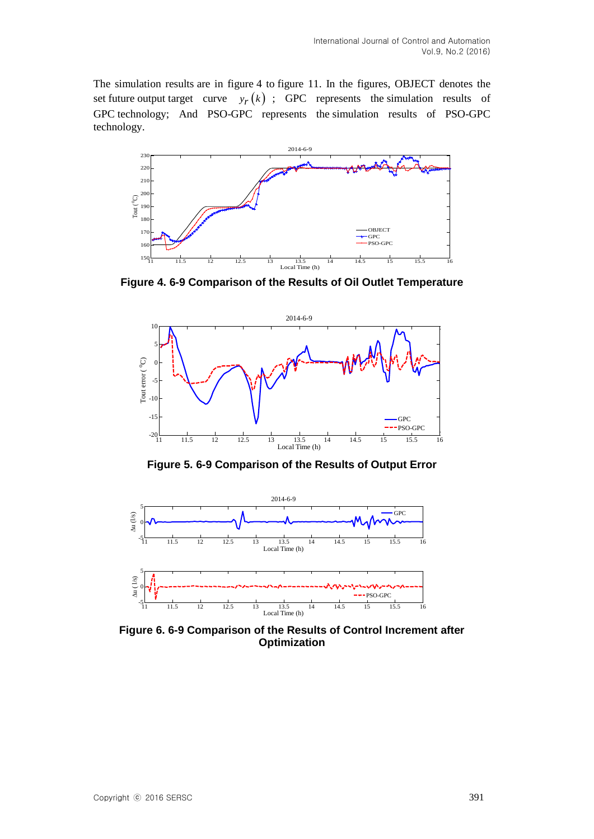The simulation results are in figure 4 to figure 11. In the figures, OBJECT denotes the set future output target curve  $y_r(k)$ ; GPC represents the simulation results of GPC technology; And PSO-GPC represents the simulation results of PSO-GPC technology.



**Figure 4. 6-9 Comparison of the Results of Oil Outlet Temperature**



**Figure 5. 6-9 Comparison of the Results of Output Error**



**Figure 6. 6-9 Comparison of the Results of Control Increment after Optimization**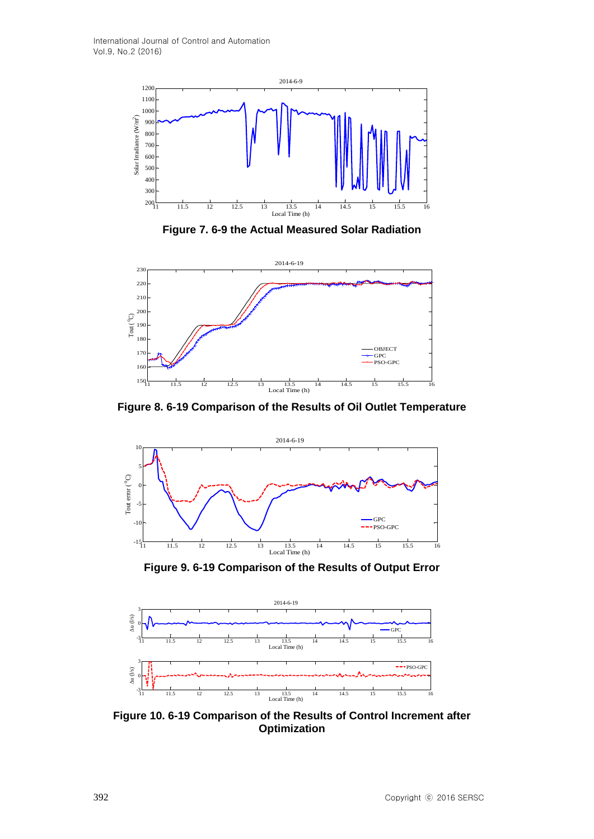

**Figure 7. 6-9 the Actual Measured Solar Radiation**



**Figure 8. 6-19 Comparison of the Results of Oil Outlet Temperature**



**Figure 9. 6-19 Comparison of the Results of Output Error**



**Figure 10. 6-19 Comparison of the Results of Control Increment after Optimization**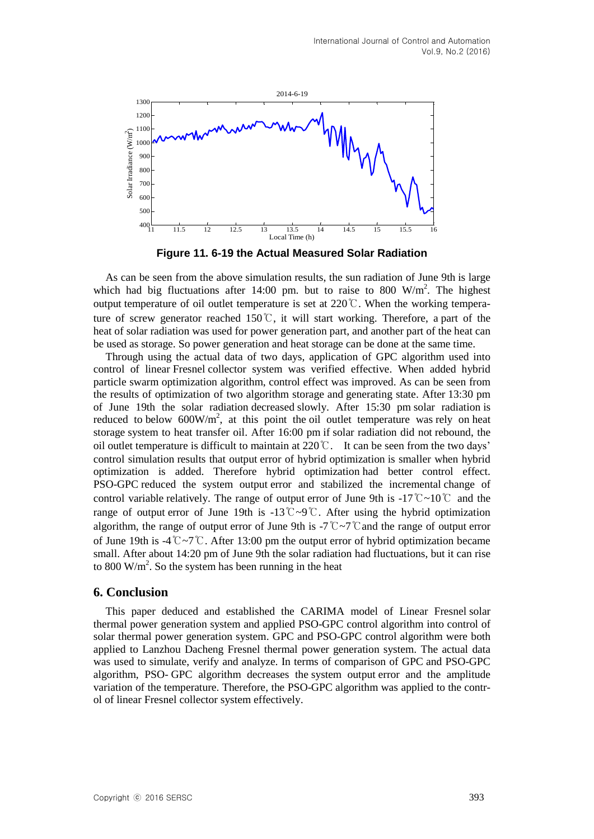

**Figure 11. 6-19 the Actual Measured Solar Radiation**

As can be seen from the above simulation results, the sun radiation of June 9th is large which had big fluctuations after 14:00 pm. but to raise to 800  $W/m<sup>2</sup>$ . The highest output temperature of oil outlet temperature is set at  $220\degree$ . When the working temperature of screw generator reached 150℃, it will start working. Therefore, a part of the heat of solar radiation was used for power generation part, and another part of the heat can be used as storage. So power generation and heat storage can be done at the same time.

Through using the actual data of two days, application of GPC algorithm used into control of linear Fresnel collector system was verified effective. When added hybrid particle swarm optimization algorithm, control effect was improved. As can be seen from the results of optimization of two algorithm storage and generating state. After 13:30 pm of June 19th the solar radiation decreased slowly. After 15:30 pm solar radiation is reduced to below  $600W/m^2$ , at this point the oil outlet temperature was rely on heat storage system to heat transfer oil. After 16:00 pm if solar radiation did not rebound, the oil outlet temperature is difficult to maintain at 220℃. It can be seen from the two days' control simulation results that output error of hybrid optimization is smaller when hybrid optimization is added. Therefore hybrid optimization had better control effect. PSO-GPC reduced the system output error and stabilized the incremental change of control variable relatively. The range of output error of June 9th is -17℃~10℃ and the range of output error of June 19th is -13℃~9℃. After using the hybrid optimization algorithm, the range of output error of June 9th is -7℃~7℃and the range of output error of June 19th is -4℃~7℃. After 13:00 pm the output error of hybrid optimization became small. After about 14:20 pm of June 9th the solar radiation had fluctuations, but it can rise to 800 W/ $m^2$ . So the system has been running in the heat

## **6. Conclusion**

This paper deduced and established the CARIMA model of Linear Fresnel solar thermal power generation system and applied PSO-GPC control algorithm into control of solar thermal power generation system. GPC and PSO-GPC control algorithm were both applied to Lanzhou Dacheng Fresnel thermal power generation system. The actual data was used to simulate, verify and analyze. In terms of comparison of GPC and PSO-GPC algorithm, PSO- GPC algorithm decreases the system output error and the amplitude variation of the temperature. Therefore, the PSO-GPC algorithm was applied to the control of linear Fresnel collector system effectively.